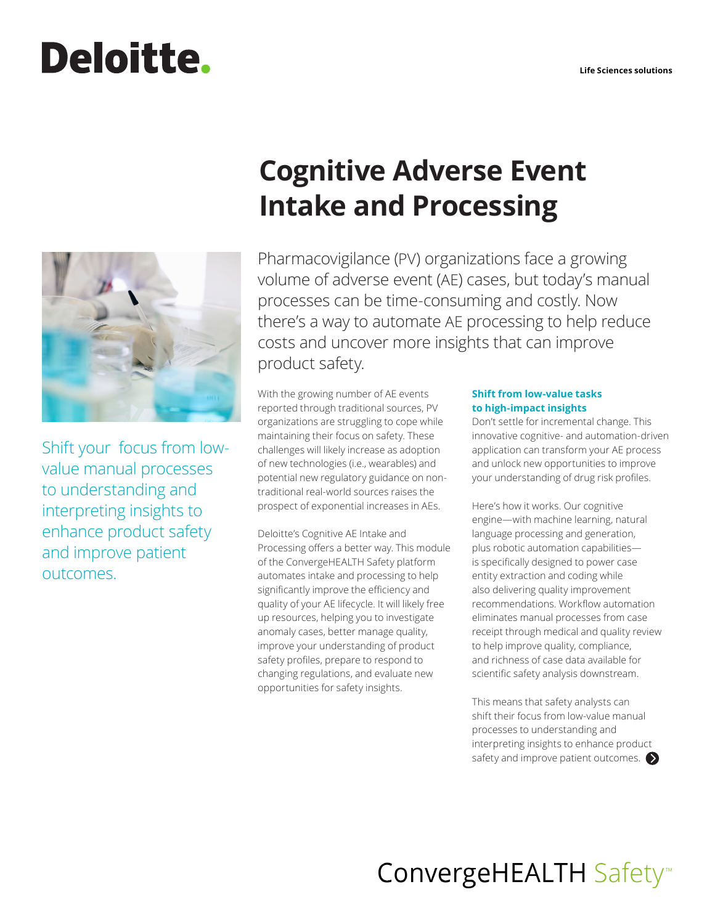# **Deloitte.**



Shift your focus from lowvalue manual processes to understanding and interpreting insights to enhance product safety and improve patient outcomes.

# **Cognitive Adverse Event Intake and Processing**

Pharmacovigilance (PV) organizations face a growing volume of adverse event (AE) cases, but today's manual processes can be time-consuming and costly. Now there's a way to automate AE processing to help reduce costs and uncover more insights that can improve product safety.

With the growing number of AE events reported through traditional sources, PV organizations are struggling to cope while maintaining their focus on safety. These challenges will likely increase as adoption of new technologies (i.e., wearables) and potential new regulatory guidance on nontraditional real-world sources raises the prospect of exponential increases in AEs.

Deloitte's Cognitive AE Intake and Processing offers a better way. This module of the ConvergeHEALTH Safety platform automates intake and processing to help significantly improve the efficiency and quality of your AE lifecycle. It will likely free up resources, helping you to investigate anomaly cases, better manage quality, improve your understanding of product safety profiles, prepare to respond to changing regulations, and evaluate new opportunities for safety insights.

# **Shift from low-value tasks to high-impact insights**

Don't settle for incremental change. This innovative cognitive- and automation-driven application can transform your AE process and unlock new opportunities to improve your understanding of drug risk profiles.

Here's how it works. Our cognitive engine—with machine learning, natural language processing and generation, plus robotic automation capabilities is specifically designed to power case entity extraction and coding while also delivering quality improvement recommendations. Workflow automation eliminates manual processes from case receipt through medical and quality review to help improve quality, compliance, and richness of case data available for scientific safety analysis downstream.

This means that safety analysts can shift their focus from low-value manual processes to understanding and interpreting insights to enhance product safety and improve patient outcomes.

# ConvergeHEALTH Safety<sup>™</sup>